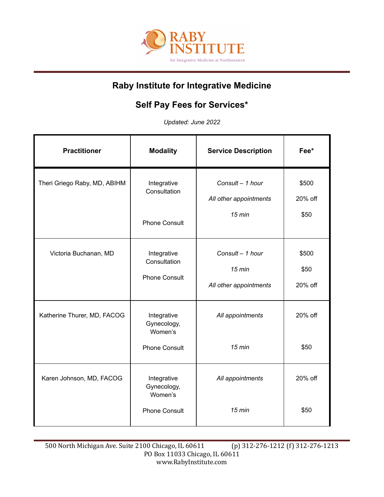

## **Raby Institute for Integrative Medicine**

## **Self Pay Fees for Services\***

*Updated: June 2022*

| <b>Practitioner</b>          | <b>Modality</b>                                               | <b>Service Description</b>                             | Fee*                     |
|------------------------------|---------------------------------------------------------------|--------------------------------------------------------|--------------------------|
| Theri Griego Raby, MD, ABIHM | Integrative<br>Consultation<br><b>Phone Consult</b>           | Consult - 1 hour<br>All other appointments<br>$15$ min | \$500<br>20% off<br>\$50 |
| Victoria Buchanan, MD        | Integrative<br>Consultation<br><b>Phone Consult</b>           | Consult - 1 hour<br>$15$ min<br>All other appointments | \$500<br>\$50<br>20% off |
| Katherine Thurer, MD, FACOG  | Integrative<br>Gynecology,<br>Women's<br><b>Phone Consult</b> | All appointments<br>$15$ min                           | 20% off<br>\$50          |
| Karen Johnson, MD, FACOG     | Integrative<br>Gynecology,<br>Women's<br><b>Phone Consult</b> | All appointments<br>$15 \text{ min}$                   | 20% off<br>\$50          |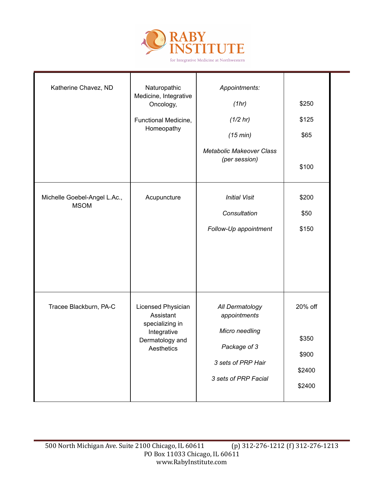

| Katherine Chavez, ND                        | Naturopathic<br>Medicine, Integrative<br>Oncology,<br>Functional Medicine,<br>Homeopathy           | Appointments:<br>(1hr)<br>(1/2 hr)<br>(15 min)<br><b>Metabolic Makeover Class</b><br>(per session)              | \$250<br>\$125<br>\$65<br>\$100               |  |
|---------------------------------------------|----------------------------------------------------------------------------------------------------|-----------------------------------------------------------------------------------------------------------------|-----------------------------------------------|--|
| Michelle Goebel-Angel L.Ac.,<br><b>MSOM</b> | Acupuncture                                                                                        | <b>Initial Visit</b><br>Consultation<br>Follow-Up appointment                                                   | \$200<br>\$50<br>\$150                        |  |
| Tracee Blackburn, PA-C                      | Licensed Physician<br>Assistant<br>specializing in<br>Integrative<br>Dermatology and<br>Aesthetics | All Dermatology<br>appointments<br>Micro needling<br>Package of 3<br>3 sets of PRP Hair<br>3 sets of PRP Facial | 20% off<br>\$350<br>\$900<br>\$2400<br>\$2400 |  |